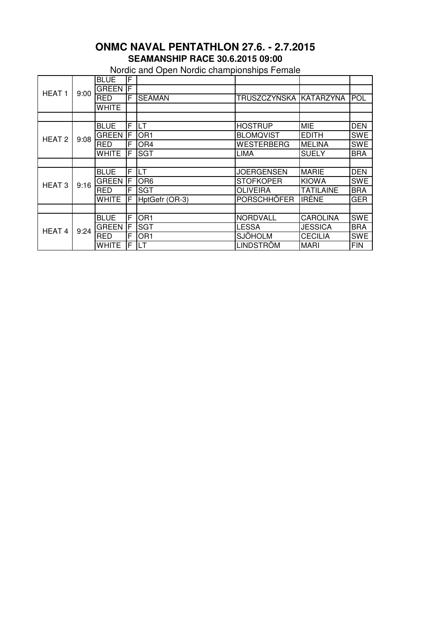## **SEAMANSHIP RACE 30.6.2015 09:00 ONMC NAVAL PENTATHLON 27.6. - 2.7.2015**

Nordic and Open Nordic championships Female

| HEAT <sub>1</sub> | 9:00 | <b>BLUE</b>  | F   |                 |                        |                  |            |
|-------------------|------|--------------|-----|-----------------|------------------------|------------------|------------|
|                   |      | <b>GREEN</b> | IĒ. |                 |                        |                  |            |
|                   |      | <b>RED</b>   | F   | <b>SEAMAN</b>   | TRUSZCZYŃSKA KATARZYNA |                  | POL        |
|                   |      | <b>WHITE</b> |     |                 |                        |                  |            |
|                   |      |              |     |                 |                        |                  |            |
| HEAT <sub>2</sub> | 9:08 | <b>BLUE</b>  | F   | <b>LT</b>       | <b>HOSTRUP</b>         | <b>MIE</b>       | <b>DEN</b> |
|                   |      | <b>GREEN</b> | ΙF  | OR <sub>1</sub> | <b>BLOMQVIST</b>       | <b>EDITH</b>     | <b>SWE</b> |
|                   |      | <b>RED</b>   | F   | OR <sub>4</sub> | <b>WESTERBERG</b>      | <b>MELINA</b>    | <b>SWE</b> |
|                   |      | <b>WHITE</b> | F   | <b>SGT</b>      | LIMA                   | <b>SUELY</b>     | <b>BRA</b> |
|                   |      |              |     |                 |                        |                  |            |
| <b>HEAT3</b>      | 9:16 | <b>BLUE</b>  | F   | LT              | <b>JOERGENSEN</b>      | <b>MARIE</b>     | <b>DEN</b> |
|                   |      | <b>GREEN</b> | IF  | OR <sub>6</sub> | <b>STOFKOPER</b>       | <b>KIOWA</b>     | <b>SWE</b> |
|                   |      | <b>RED</b>   | F   | <b>SGT</b>      | <b>OLIVEIRA</b>        | <b>TATILAINE</b> | <b>BRA</b> |
|                   |      | <b>WHITE</b> | F   | HptGefr (OR-3)  | <b>PORSCHHÖFER</b>     | <b>IRÉNE</b>     | <b>GER</b> |
|                   |      |              |     |                 |                        |                  |            |
| HEAT <sub>4</sub> | 9:24 | <b>BLUE</b>  | F   | OR <sub>1</sub> | <b>NORDVALL</b>        | <b>CAROLINA</b>  | <b>SWE</b> |
|                   |      | <b>GREEN</b> | F   | <b>SGT</b>      | <b>LESSA</b>           | <b>JESSICA</b>   | <b>BRA</b> |
|                   |      | <b>RED</b>   | F   | OR <sub>1</sub> | <b>SJÖHOLM</b>         | <b>CECILIA</b>   | <b>SWE</b> |
|                   |      | <b>WHITE</b> | F   | LT              | LINDSTRÖM              | <b>MARI</b>      | <b>FIN</b> |